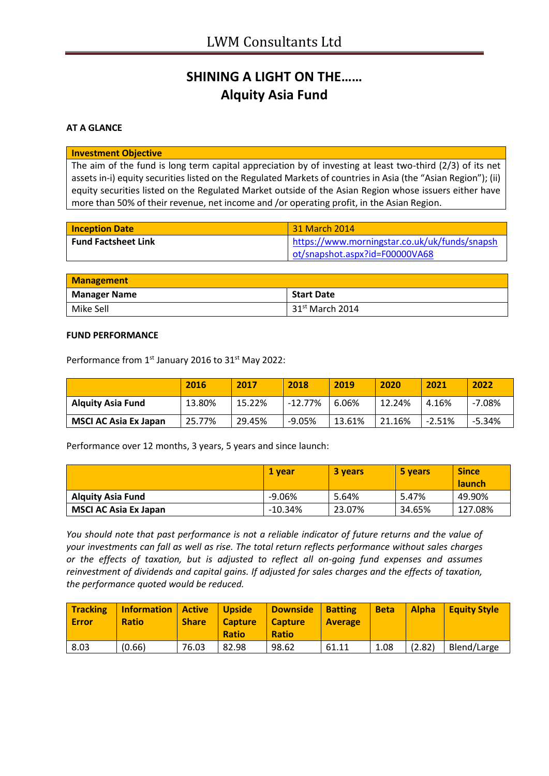## **SHINING A LIGHT ON THE…… Alquity Asia Fund**

## **AT A GLANCE**

### **Investment Objective**

The aim of the fund is long term capital appreciation by of investing at least two-third (2/3) of its net assets in-i) equity securities listed on the Regulated Markets of countries in Asia (the "Asian Region"); (ii) equity securities listed on the Regulated Market outside of the Asian Region whose issuers either have more than 50% of their revenue, net income and /or operating profit, in the Asian Region.

| <b>Inception Date</b>      | 31 March 2014                                 |
|----------------------------|-----------------------------------------------|
| <b>Fund Factsheet Link</b> | https://www.morningstar.co.uk/uk/funds/snapsh |
|                            | ot/snapshot.aspx?id=F00000VA68                |

| <b>Management</b>   |                             |
|---------------------|-----------------------------|
| <b>Manager Name</b> | <b>Start Date</b>           |
| Mike Sell           | 31 <sup>st</sup> March 2014 |

#### **FUND PERFORMANCE**

| Performance from 1 <sup>st</sup> January 2016 to 31 <sup>st</sup> May 2022: |  |  |  |
|-----------------------------------------------------------------------------|--|--|--|
|-----------------------------------------------------------------------------|--|--|--|

|                              | 2016   | 2017   | 2018      | 2019   | 2020   | 2021     | 2022     |
|------------------------------|--------|--------|-----------|--------|--------|----------|----------|
| <b>Alguity Asia Fund</b>     | 13.80% | 15.22% | $-12.77%$ | 6.06%  | 12.24% | 4.16%    | $-7.08%$ |
| <b>MSCI AC Asia Ex Japan</b> | 25.77% | 29.45% | $-9.05%$  | 13.61% | 21.16% | $-2.51%$ | $-5.34%$ |

Performance over 12 months, 3 years, 5 years and since launch:

|                              | 1 vear    | 3 years | 5 years | <b>Since</b><br><b>launch</b> |
|------------------------------|-----------|---------|---------|-------------------------------|
| <b>Alguity Asia Fund</b>     | $-9.06%$  | 5.64%   | 5.47%   | 49.90%                        |
| <b>MSCI AC Asia Ex Japan</b> | $-10.34%$ | 23.07%  | 34.65%  | 127.08%                       |

*You should note that past performance is not a reliable indicator of future returns and the value of your investments can fall as well as rise. The total return reflects performance without sales charges or the effects of taxation, but is adjusted to reflect all on-going fund expenses and assumes reinvestment of dividends and capital gains. If adjusted for sales charges and the effects of taxation, the performance quoted would be reduced.*

| <b>Tracking</b><br><b>Error</b> | <b>Information</b><br><b>Ratio</b> | Active<br><b>Share</b> | <b>Upside</b><br><b>Capture</b><br><b>Ratio</b> | <b>Downside</b><br><b>Capture</b><br><b>Ratio</b> | <b>Batting</b><br><b>Average</b> | <b>Beta</b> | <b>Alpha</b> | <b>Equity Style</b> |
|---------------------------------|------------------------------------|------------------------|-------------------------------------------------|---------------------------------------------------|----------------------------------|-------------|--------------|---------------------|
| 8.03                            | (0.66)                             | 76.03                  | 82.98                                           | 98.62                                             | 61.11                            | 1.08        | (2.82)       | Blend/Large         |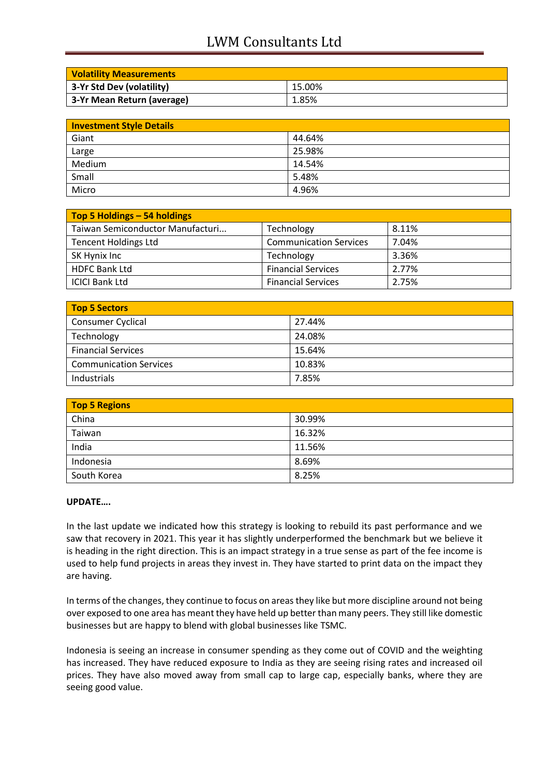# LWM Consultants Ltd

| <b>Volatility Measurements</b> |        |
|--------------------------------|--------|
| 3-Yr Std Dev (volatility)      | 15.00% |
| 3-Yr Mean Return (average)     | 1.85%  |

| <b>Investment Style Details</b> |        |  |
|---------------------------------|--------|--|
| Giant                           | 44.64% |  |
| Large                           | 25.98% |  |
| Medium                          | 14.54% |  |
| Small                           | 5.48%  |  |
| Micro                           | 4.96%  |  |

| Top 5 Holdings - 54 holdings     |                               |       |
|----------------------------------|-------------------------------|-------|
| Taiwan Semiconductor Manufacturi | Technology                    | 8.11% |
| <b>Tencent Holdings Ltd</b>      | <b>Communication Services</b> | 7.04% |
| SK Hynix Inc                     | Technology                    | 3.36% |
| <b>HDFC Bank Ltd</b>             | <b>Financial Services</b>     | 2.77% |
| <b>ICICI Bank Ltd</b>            | <b>Financial Services</b>     | 2.75% |

| <b>Top 5 Sectors</b>          |        |
|-------------------------------|--------|
| Consumer Cyclical             | 27.44% |
| Technology                    | 24.08% |
| <b>Financial Services</b>     | 15.64% |
| <b>Communication Services</b> | 10.83% |
| Industrials                   | 7.85%  |

| <b>Top 5 Regions</b> |        |
|----------------------|--------|
| China                | 30.99% |
| Taiwan               | 16.32% |
| India                | 11.56% |
| Indonesia            | 8.69%  |
| South Korea          | 8.25%  |

## **UPDATE….**

In the last update we indicated how this strategy is looking to rebuild its past performance and we saw that recovery in 2021. This year it has slightly underperformed the benchmark but we believe it is heading in the right direction. This is an impact strategy in a true sense as part of the fee income is used to help fund projects in areas they invest in. They have started to print data on the impact they are having.

In terms of the changes, they continue to focus on areas they like but more discipline around not being over exposed to one area has meant they have held up better than many peers. They still like domestic businesses but are happy to blend with global businesses like TSMC.

Indonesia is seeing an increase in consumer spending as they come out of COVID and the weighting has increased. They have reduced exposure to India as they are seeing rising rates and increased oil prices. They have also moved away from small cap to large cap, especially banks, where they are seeing good value.